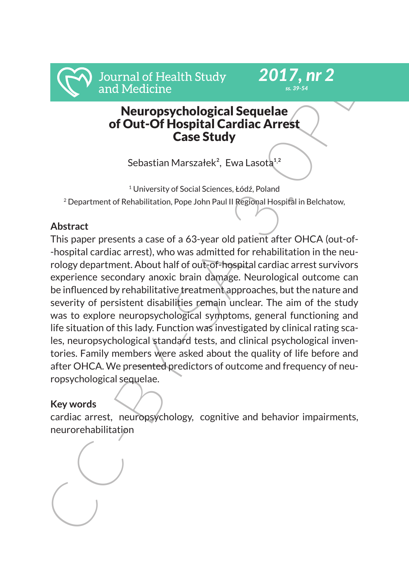# Neuropsychological Sequelae of Out-Of Hospital Cardiac Arrest Case Study

*2017, nr 2 ss. 39-54*

Sebastian Marszałek<sup>2</sup>, Ewa Lasota<sup>1,2</sup>

<sup>1</sup> University of Social Sciences, Łódź, Poland <sup>2</sup> Department of Rehabilitation, Pope John Paul II Regional Hospital in Belchatow,

## **Abstract**

Journal of Health Study<br>
and Medicine<br>
Meuropsychological Sequelae<br>
of Out-Of Hospital Cardiac Arrest<br>
Case Study<br>
Sebastian Marszałek<sup>2</sup>, Ewa Lasotà<sup>12</sup><br>
<sup>1</sup> University of Social Sciences, Łódź, Poland<br>
<sup>2</sup> Department of This paper presents a case of a 63-year old patient after OHCA (out-of- -hospital cardiac arrest), who was admitted for rehabilitation in the neurology department. About half of out-of-hospital cardiac arrest survivors experience secondary anoxic brain damage. Neurological outcome can be influenced by rehabilitative treatment approaches, but the nature and severity of persistent disabilities remain unclear. The aim of the study was to explore neuropsychological symptoms, general functioning and life situation of this lady. Function was investigated by clinical rating scales, neuropsychological standard tests, and clinical psychological inventories. Family members were asked about the quality of life before and after OHCA. We presented predictors of outcome and frequency of neuropsychological sequelae.

### **Key words**

cardiac arrest, neuropsychology, cognitive and behavior impairments, neurorehabilitation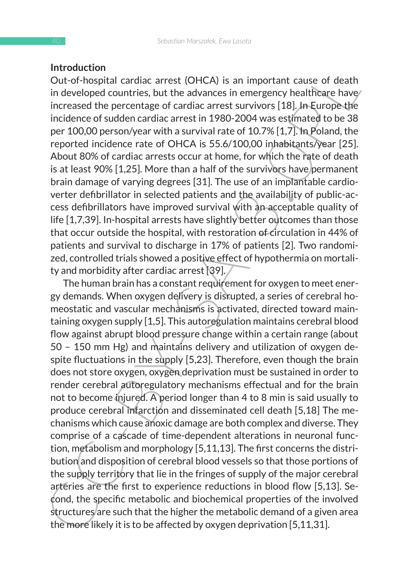#### **Introduction**

Out-of-hospital cardiac arrest (OHCA) is an important cause of death in developed countries, but the advances in emergency healthcare have/ increased the percentage of cardiac arrest survivors [18]. In Europe the incidence of sudden cardiac arrest in 1980-2004 was estimated to be 38 per 100,00 person/year with a survival rate of 10.7% [1,7]. In Poland, the reported incidence rate of OHCA is 55.6/100,00 inhabitants/year [25]. About 80% of cardiac arrests occur at home, for which the rate of death is at least 90% [1,25]. More than a half of the survivors have permanent brain damage of varying degrees [31]. The use of an implantable cardioverter defibrillator in selected patients and the availability of public-access defibrillators have improved survival with an acceptable quality of life [1,7,39]. In-hospital arrests have slightly better outcomes than those that occur outside the hospital, with restoration of circulation in 44% of patients and survival to discharge in 17% of patients [2]. Two randomized, controlled trials showed a positive effect of hypothermia on mortality and morbidity after cardiac arrest [39].

ntroduction<br>
Out-of-hospital cardiac arrest (OHCA) is an important cause of death<br>
in developed countries, but the advances in emergency healthcare have<br>
increased the percentage of cardiac arrest in 1980-2004 was estimat The human brain has a constant requirement for oxygen to meet energy demands. When oxygen delivery is disrupted, a series of cerebral homeostatic and vascular mechanisms is activated, directed toward maintaining oxygen supply [1,5]. This autoregulation maintains cerebral blood flow against abrupt blood pressure change within a certain range (about 50 – 150 mm Hg) and maintains delivery and utilization of oxygen despite fluctuations in the supply [5,23]. Therefore, even though the brain does not store oxygen, oxygen deprivation must be sustained in order to render cerebral autoregulatory mechanisms effectual and for the brain not to become injured. A period longer than 4 to 8 min is said usually to produce cerebral infarction and disseminated cell death [5,18] The mechanisms which cause anoxic damage are both complex and diverse. They comprise of a cascade of time-dependent alterations in neuronal function, metabolism and morphology [5,11,13]. The first concerns the distribution and disposition of cerebral blood vessels so that those portions of the supply territory that lie in the fringes of supply of the major cerebral arteries are the first to experience reductions in blood flow [5,13]. Second, the specific metabolic and biochemical properties of the involved structures are such that the higher the metabolic demand of a given area the more likely it is to be affected by oxygen deprivation [5,11,31].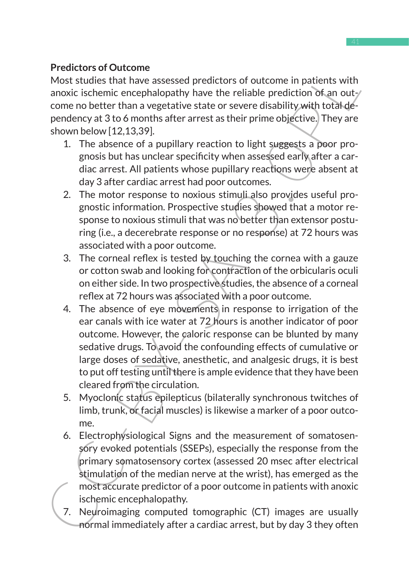## **Predictors of Outcome**

Most studies that have assessed predictors of outcome in patients with anoxic ischemic encephalopathy have the reliable prediction of an outcome no better than a vegetative state or severe disability with total dependency at 3 to 6 months after arrest as their prime objective. They are shown below [12,13,39].

- 1. The absence of a pupillary reaction to light suggests a poor prognosis but has unclear specificity when assessed early after a cardiac arrest. All patients whose pupillary reactions were absent at day 3 after cardiac arrest had poor outcomes.
- 2. The motor response to noxious stimuli also provides useful prognostic information. Prospective studies showed that a motor response to noxious stimuli that was no better than extensor posturing (i.e., a decerebrate response or no response) at 72 hours was associated with a poor outcome.
- 3. The corneal reflex is tested by touching the cornea with a gauze or cotton swab and looking for contraction of the orbicularis oculi on either side. In two prospective studies, the absence of a corneal reflex at 72 hours was associated with a poor outcome.
- Frequencies of outcome<br>
Most studies that have assessed predictors of outcome in patients with<br>
anoxic ischemic encephalopathy have the reliable prediction of an out-<br>
come no better than a vegetative state or severe disab 4. The absence of eye movements in response to irrigation of the ear canals with ice water at 72 hours is another indicator of poor outcome. However, the caloric response can be blunted by many sedative drugs. To avoid the confounding effects of cumulative or large doses of sedative, anesthetic, and analgesic drugs, it is best to put off testing until there is ample evidence that they have been cleared from the circulation.
	- 5. Myoclonic status epilepticus (bilaterally synchronous twitches of limb, trunk, or facial muscles) is likewise a marker of a poor outcome.
	- 6. Electrophysiological Signs and the measurement of somatosensory evoked potentials (SSEPs), especially the response from the primary somatosensory cortex (assessed 20 msec after electrical stimulation of the median nerve at the wrist), has emerged as the most accurate predictor of a poor outcome in patients with anoxic ischemic encephalopathy.
	- 7. Neuroimaging computed tomographic (CT) images are usually normal immediately after a cardiac arrest, but by day 3 they often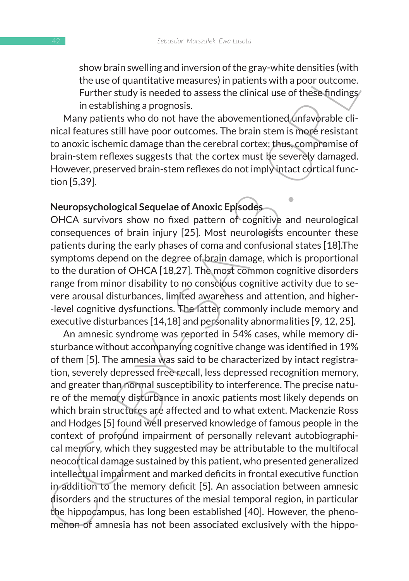show brain swelling and inversion of the gray-white densities (with the use of quantitative measures) in patients with a poor outcome. Further study is needed to assess the clinical use of these findings in establishing a prognosis.

Many patients who do not have the abovementioned unfavorable clinical features still have poor outcomes. The brain stem is more resistant to anoxic ischemic damage than the cerebral cortex; thus, compromise of brain-stem reflexes suggests that the cortex must be severely damaged. However, preserved brain-stem reflexes do not imply intact cortical function [5,39].

### **Neuropsychological Sequelae of Anoxic Episodes**

OHCA survivors show no fixed pattern of cognitive and neurological consequences of brain injury [25]. Most neurologists encounter these patients during the early phases of coma and confusional states [18].The symptoms depend on the degree of brain damage, which is proportional to the duration of OHCA [18,27]. The most common cognitive disorders range from minor disability to no conscious cognitive activity due to severe arousal disturbances, limited awareness and attention, and higher- -level cognitive dysfunctions. The latter commonly include memory and executive disturbances [14,18] and personality abnormalities [9, 12, 25].

structure that the best and the streamed and the streamed the selective the selective measures) in patients with a poor outcome.<br>Further stady is needed to assess the clinical use of these findings<br>Many patients who do not An amnesic syndrome was reported in 54% cases, while memory disturbance without accompanying cognitive change was identified in 19% of them [5]. The amnesia was said to be characterized by intact registration, severely depressed free recall, less depressed recognition memory, and greater than normal susceptibility to interference. The precise nature of the memory disturbance in anoxic patients most likely depends on which brain structures are affected and to what extent. Mackenzie Ross and Hodges [5] found well preserved knowledge of famous people in the context of profound impairment of personally relevant autobiographical memory, which they suggested may be attributable to the multifocal neocortical damage sustained by this patient, who presented generalized intellectual impairment and marked deficits in frontal executive function in addition to the memory deficit [5]. An association between amnesic disorders and the structures of the mesial temporal region, in particular the hippocampus, has long been established [40]. However, the phenomenon of amnesia has not been associated exclusively with the hippo-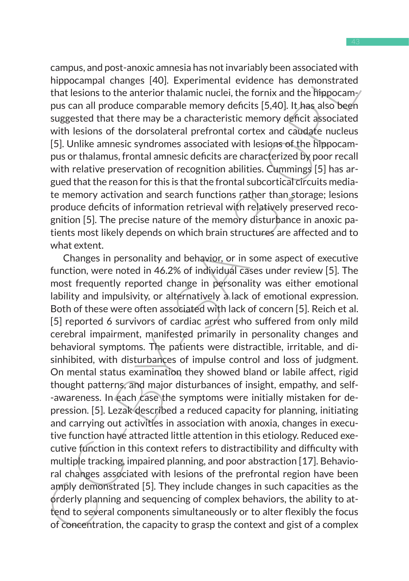campus, and post-anoxic amnesia has not invariably been associated with hippocampal changes [40]. Experimental evidence has demonstrated that lesions to the anterior thalamic nuclei, the fornix and the hippocampus can all produce comparable memory deficits [5,40]. It has also been suggested that there may be a characteristic memory deficit associated with lesions of the dorsolateral prefrontal cortex and caudate nucleus [5]. Unlike amnesic syndromes associated with lesions of the hippocampus or thalamus, frontal amnesic deficits are characterized by poor recall with relative preservation of recognition abilities. Cummings [5] has argued that the reason for this is that the frontal subcortical circuits mediate memory activation and search functions rather than storage; lesions produce deficits of information retrieval with relatively preserved recognition [5]. The precise nature of the memory disturbance in anoxic patients most likely depends on which brain structures are affected and to what extent.

Lampoc, and post-anoxid ministal and not twarfally been associated with the signocannal changes [40]. Experimental evidence has demonstrated that lesions to the anterior thalamic nuclei, the fornix and the hippocamy or gog Changes in personality and behavior, or in some aspect of executive function, were noted in 46.2% of individual cases under review [5]. The most frequently reported change in personality was either emotional lability and impulsivity, or alternatively a lack of emotional expression. Both of these were often associated with lack of concern [5]. Reich et al. [5] reported 6 survivors of cardiac arrest who suffered from only mild cerebral impairment, manifested primarily in personality changes and behavioral symptoms. The patients were distractible, irritable, and disinhibited, with disturbances of impulse control and loss of judgment. On mental status examination they showed bland or labile affect, rigid thought patterns, and major disturbances of insight, empathy, and self- -awareness. In each case the symptoms were initially mistaken for depression. [5]. Lezak described a reduced capacity for planning, initiating and carrying out activities in association with anoxia, changes in executive function have attracted little attention in this etiology. Reduced executive function in this context refers to distractibility and difficulty with multiple tracking, impaired planning, and poor abstraction [17]. Behavioral changes associated with lesions of the prefrontal region have been amply demonstrated [5]. They include changes in such capacities as the orderly planning and sequencing of complex behaviors, the ability to attend to several components simultaneously or to alter flexibly the focus of concentration, the capacity to grasp the context and gist of a complex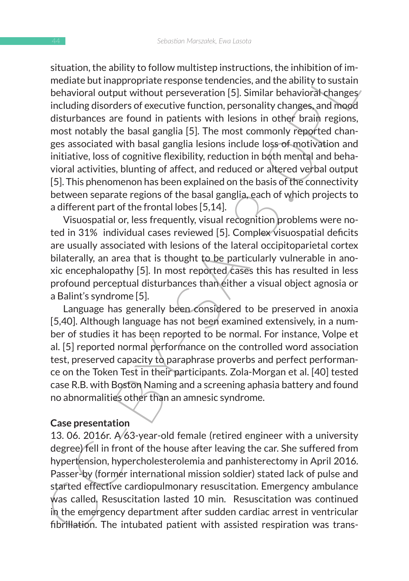station, the animy to intown ministery mistriculation, the inminiton or in-<br>mediate but inappropriate response tendencies, and the ability to sustain<br>behavioral output without perseveration [5]. Similar behavioral changes<br> situation, the ability to follow multistep instructions, the inhibition of immediate but inappropriate response tendencies, and the ability to sustain behavioral output without perseveration [5]. Similar behavioral changes including disorders of executive function, personality changes, and mood disturbances are found in patients with lesions in other brain regions, most notably the basal ganglia [5]. The most commonly reported changes associated with basal ganglia lesions include loss of motivation and initiative, loss of cognitive flexibility, reduction in both mental and behavioral activities, blunting of affect, and reduced or altered verbal output [5]. This phenomenon has been explained on the basis of the connectivity between separate regions of the basal ganglia, each of which projects to a different part of the frontal lobes [5,14].

Visuospatial or, less frequently, visual recognition problems were noted in 31% individual cases reviewed [5]. Complex visuospatial deficits are usually associated with lesions of the lateral occipitoparietal cortex bilaterally, an area that is thought to be particularly vulnerable in anoxic encephalopathy [5]. In most reported cases this has resulted in less profound perceptual disturbances than either a visual object agnosia or a Balint's syndrome [5].

Language has generally been considered to be preserved in anoxia [5,40]. Although language has not been examined extensively, in a number of studies it has been reported to be normal. For instance, Volpe et al. [5] reported normal performance on the controlled word association test, preserved capacity to paraphrase proverbs and perfect performance on the Token Test in their participants. Zola-Morgan et al. [40] tested case R.B. with Boston Naming and a screening aphasia battery and found no abnormalities other than an amnesic syndrome.

### **Case presentation**

13. 06. 2016r. A/63-year-old female (retired engineer with a university degree) fell in front of the house after leaving the car. She suffered from hypertension, hypercholesterolemia and panhisterectomy in April 2016. Passer-by (former international mission soldier) stated lack of pulse and started effective cardiopulmonary resuscitation. Emergency ambulance was called. Resuscitation lasted 10 min. Resuscitation was continued in the emergency department after sudden cardiac arrest in ventricular fibrillation. The intubated patient with assisted respiration was trans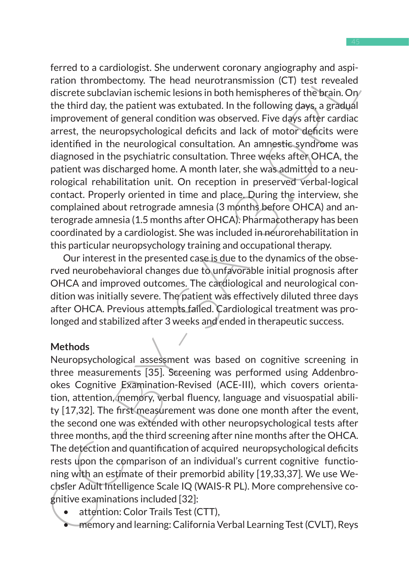Fire to a cachiongits. The inner went corriding the proportional aspectation thrombettomy. The head eurotransmission (CF) test revealed discrete subclavian ischemic lesions in both hemispheres of the bigin, Ory the third d ferred to a cardiologist. She underwent coronary angiography and aspiration thrombectomy. The head neurotransmission (CT) test revealed discrete subclavian ischemic lesions in both hemispheres of the brain. On the third day, the patient was extubated. In the following days, a gradual improvement of general condition was observed. Five days after cardiac arrest, the neuropsychological deficits and lack of motor deficits were identified in the neurological consultation. An amnestic syndrome was diagnosed in the psychiatric consultation. Three weeks after OHCA, the patient was discharged home. A month later, she was admitted to a neurological rehabilitation unit. On reception in preserved verbal-logical contact. Properly oriented in time and place. During the interview, she complained about retrograde amnesia (3 months before OHCA) and anterograde amnesia (1.5 months after OHCA). Pharmacotherapy has been coordinated by a cardiologist. She was included in neurorehabilitation in this particular neuropsychology training and occupational therapy.

Our interest in the presented case is due to the dynamics of the observed neurobehavioral changes due to unfavorable initial prognosis after OHCA and improved outcomes. The cardiological and neurological condition was initially severe. The patient was effectively diluted three days after OHCA. Previous attempts failed. Cardiological treatment was prolonged and stabilized after 3 weeks and ended in therapeutic success.

#### **Methods**

Neuropsychological assessment was based on cognitive screening in three measurements [35]. Screening was performed using Addenbrookes Cognitive Examination-Revised (ACE-III), which covers orientation, attention, memory, verbal fluency, language and visuospatial ability [17,32]. The first measurement was done one month after the event, the second one was extended with other neuropsychological tests after three months, and the third screening after nine months after the OHCA. The detection and quantification of acquired neuropsychological deficits rests upon the comparison of an individual's current cognitive functioning with an estimate of their premorbid ability [19,33,37]. We use Wechsler Adult Intelligence Scale IQ (WAIS-R PL). More comprehensive cognitive examinations included [32]:

- attention: Color Trails Test (CTT),
- memory and learning: California Verbal Learning Test (CVLT), Reys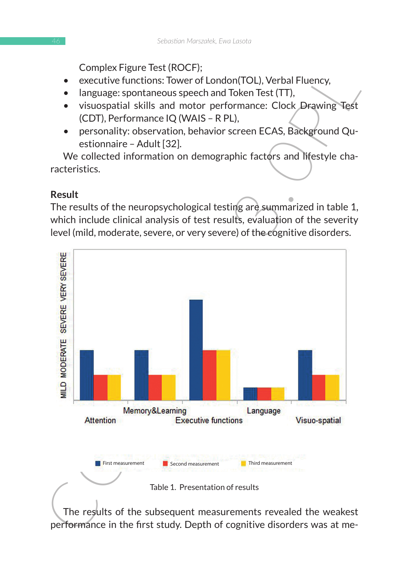Complex Figure Test (ROCF);

- executive functions: Tower of London(TOL), Verbal Fluency,
- language: spontaneous speech and Token Test (TT),
- visuospatial skills and motor performance: Clock Drawing Test (CDT), Performance IQ (WAIS – R PL),
- personality: observation, behavior screen ECAS, Background Questionnaire – Adult [32].

We collected information on demographic factors and lifestyle characteristics.

## **Result**

The results of the neuropsychological testing are summarized in table 1, which include clinical analysis of test results, evaluation of the severity level (mild, moderate, severe, or very severe) of the cognitive disorders.



The results of the subsequent measurements revealed the weakest performance in the first study. Depth of cognitive disorders was at me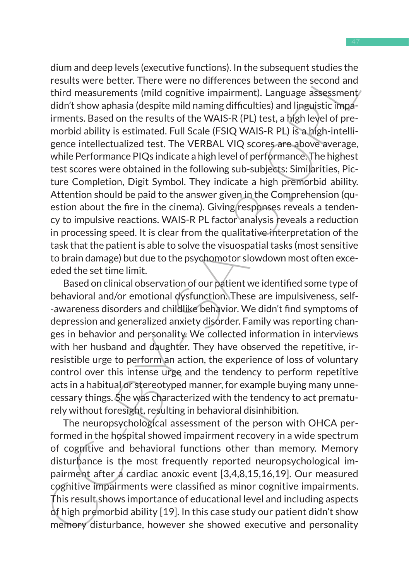origins the ensure the subsequents states the state and respuestive results were better. There were no differences between the second and third measurements (mild cognitive impairment). Language a3sessment/diathshow aphasi dium and deep levels (executive functions). In the subsequent studies the results were better. There were no differences between the second and third measurements (mild cognitive impairment). Language assessment didn't show aphasia (despite mild naming difficulties) and linguistic impairments. Based on the results of the WAIS-R (PL) test, a high level of premorbid ability is estimated. Full Scale (FSIQ WAIS-R PL) is a high-intelligence intellectualized test. The VERBAL VIQ scores are above average, while Performance PIQs indicate a high level of performance. The highest test scores were obtained in the following sub-subjects: Similarities, Picture Completion, Digit Symbol. They indicate a high premorbid ability. Attention should be paid to the answer given in the Comprehension (question about the fire in the cinema). Giving responses reveals a tendency to impulsive reactions. WAIS-R PL factor analysis reveals a reduction in processing speed. It is clear from the qualitative interpretation of the task that the patient is able to solve the visuospatial tasks (most sensitive to brain damage) but due to the psychomotor slowdown most often exceeded the set time limit.

Based on clinical observation of our patient we identified some type of behavioral and/or emotional dysfunction. These are impulsiveness, self- -awareness disorders and childlike behavior. We didn't find symptoms of depression and generalized anxiety disorder. Family was reporting changes in behavior and personality. We collected information in interviews with her husband and daughter. They have observed the repetitive, irresistible urge to perform an action, the experience of loss of voluntary control over this intense urge and the tendency to perform repetitive acts in a habitual or stereotyped manner, for example buying many unnecessary things. She was characterized with the tendency to act prematurely without foresight, resulting in behavioral disinhibition.

The neuropsychological assessment of the person with OHCA performed in the hospital showed impairment recovery in a wide spectrum of cognitive and behavioral functions other than memory. Memory disturbance is the most frequently reported neuropsychological impairment after a cardiac anoxic event [3,4,8,15,16,19]. Our measured cognitive impairments were classified as minor cognitive impairments. This result shows importance of educational level and including aspects of high premorbid ability [19]. In this case study our patient didn't show memory disturbance, however she showed executive and personality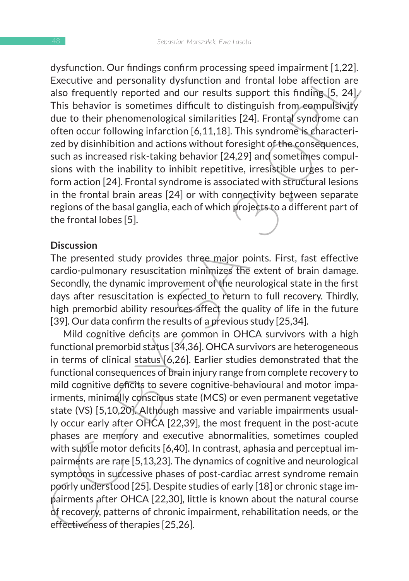dysfunction. Our findings confirm processing speed impairment [1,22]. Executive and personality dysfunction and frontal lobe affection are also frequently reported and our results support this finding [5, 24]. This behavior is sometimes difficult to distinguish from compulsivity due to their phenomenological similarities [24]. Frontal syndrome can often occur following infarction [6,11,18]. This syndrome is characterized by disinhibition and actions without foresight of the consequences, such as increased risk-taking behavior [24,29] and sometimes compulsions with the inability to inhibit repetitive, irresistible urges to perform action [24]. Frontal syndrome is associated with structural lesions in the frontal brain areas [24] or with connectivity between separate regions of the basal ganglia, each of which projects to a different part of the frontal lobes [5].

#### **Discussion**

The presented study provides three major points. First, fast effective cardio-pulmonary resuscitation minimizes the extent of brain damage. Secondly, the dynamic improvement of the neurological state in the first days after resuscitation is expected to return to full recovery. Thirdly, high premorbid ability resources affect the quality of life in the future [39]. Our data confirm the results of a previous study [25,34].

oysunction. Our minuling commit processing speed impariment [1,22].<br>
This behavior is and presonality dysfunction and frontal lobe affection are<br>
also frequently reported and our results support this finding. [5, 24]. This Mild cognitive deficits are common in OHCA survivors with a high functional premorbid status [34,36]. OHCA survivors are heterogeneous in terms of clinical status [6,26]. Earlier studies demonstrated that the functional consequences of brain injury range from complete recovery to mild cognitive deficits to severe cognitive-behavioural and motor impairments, minimally conscious state (MCS) or even permanent vegetative state (VS) [5,10,20]. Although massive and variable impairments usually occur early after OHCA [22,39], the most frequent in the post-acute phases are memory and executive abnormalities, sometimes coupled with subtle motor deficits [6,40]. In contrast, aphasia and perceptual impairments are rare [5,13,23]. The dynamics of cognitive and neurological symptoms in successive phases of post-cardiac arrest syndrome remain poorly understood [25]. Despite studies of early [18] or chronic stage impairments after OHCA [22,30], little is known about the natural course of recovery, patterns of chronic impairment, rehabilitation needs, or the effectiveness of therapies [25,26].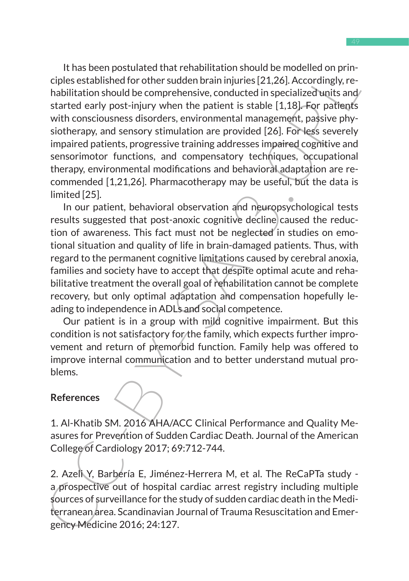Trias been possionated unar tenanimial sincon os enoughed only interestiglists calible dot other sudden brain injuries [21,26]. Accordingly, re-<br>habilitation should be comprehensive, conducted in specialized units and<br>star It has been postulated that rehabilitation should be modelled on principles established for other sudden brain injuries [21,26]. Accordingly, rehabilitation should be comprehensive, conducted in specialized units and/ started early post-injury when the patient is stable [1,18]. For patients with consciousness disorders, environmental management, passive physiotherapy, and sensory stimulation are provided [26]. For less severely impaired patients, progressive training addresses impaired cognitive and sensorimotor functions, and compensatory techniques, occupational therapy, environmental modifications and behavioral adaptation are recommended [1,21,26]. Pharmacotherapy may be useful, but the data is limited [25].

In our patient, behavioral observation and neuropsychological tests results suggested that post-anoxic cognitive decline caused the reduction of awareness. This fact must not be neglected in studies on emotional situation and quality of life in brain-damaged patients. Thus, with regard to the permanent cognitive limitations caused by cerebral anoxia, families and society have to accept that despite optimal acute and rehabilitative treatment the overall goal of rehabilitation cannot be complete recovery, but only optimal adaptation and compensation hopefully leading to independence in ADLs and social competence.

Our patient is in a group with mild cognitive impairment. But this condition is not satisfactory for the family, which expects further improvement and return of premorbid function. Family help was offered to improve internal communication and to better understand mutual problems.

#### **References**

1. Al-Khatib SM. 2016 AHA/ACC Clinical Performance and Quality Measures for Prevention of Sudden Cardiac Death. Journal of the American College of Cardiology 2017; 69:712-744.

2. Azeli Y, Barbería E, Jiménez-Herrera M, et al. The ReCaPTa study a prospective out of hospital cardiac arrest registry including multiple sources of surveillance for the study of sudden cardiac death in the Mediterranean area. Scandinavian Journal of Trauma Resuscitation and Emergency Medicine 2016; 24:127.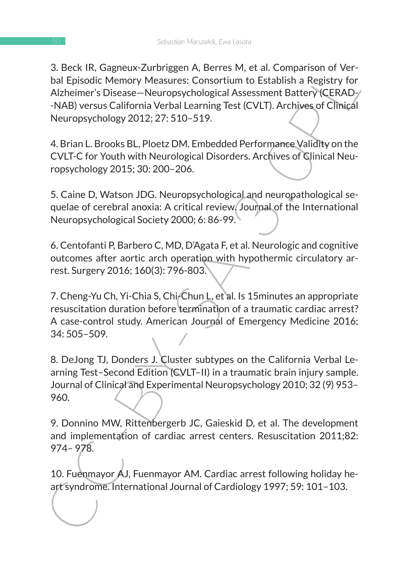3. Beck IR, Gaglietus-Zurunggeri A, Beres Wi, et al. Comparison or vert<br>
bal Episodic Memory Measures: Consortium to Establish a Registry for<br>
Alzheimer's Disease-Neuropychological Assessment Battery (CERAD-<br>
NAB) versus C 3. Beck IR, Gagneux-Zurbriggen A, Berres M, et al. Comparison of Verbal Episodic Memory Measures: Consortium to Establish a Registry for Alzheimer's Disease—Neuropsychological Assessment Battery (CERAD- -NAB) versus California Verbal Learning Test (CVLT). Archives of Clinical Neuropsychology 2012; 27: 510–519.

4. Brian L. Brooks BL, Ploetz DM. Embedded Performance Validity on the CVLT-C for Youth with Neurological Disorders. Archives of Clinical Neuropsychology 2015; 30: 200–206.

5. Caine D, Watson JDG. Neuropsychological and neuropathological sequelae of cerebral anoxia: A critical review. Journal of the International Neuropsychological Society 2000; 6: 86-99.

6. Centofanti P, Barbero C, MD, D'Agata F, et al. Neurologic and cognitive outcomes after aortic arch operation with hypothermic circulatory arrest. Surgery 2016; 160(3): 796-803.

7. Cheng-Yu Ch, Yi-Chia S, Chi-Chun L, et al. Is 15minutes an appropriate resuscitation duration before termination of a traumatic cardiac arrest? A case-control study. American Journal of Emergency Medicine 2016; 34: 505–509.

8. DeJong TJ, Donders J. Cluster subtypes on the California Verbal Learning Test–Second Edition (CVLT–II) in a traumatic brain injury sample. Journal of Clinical and Experimental Neuropsychology 2010; 32 (9) 953– 960.

9. Donnino MW, Rittenbergerb JC, Gaieskid D, et al. The development and implementation of cardiac arrest centers. Resuscitation 2011;82: 974– 978.

10. Fuenmayor AJ, Fuenmayor AM. Cardiac arrest following holiday heart syndrome. International Journal of Cardiology 1997; 59: 101–103.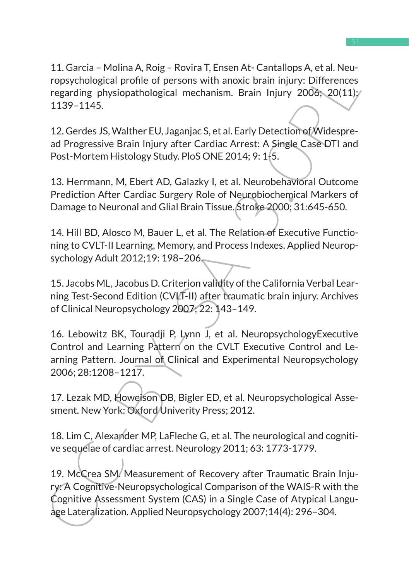11. Garcia – Molina A, Roig – Rovira T, Ensen At- Cantallops A, et al. Neuropsychological profile of persons with anoxic brain injury: Differences regarding physiopathological mechanism. Brain Injury 2006; 20(11): 1139–1145.

12. Gerdes JS, Walther EU, Jaganjac S, et al. Early Detection of Widespread Progressive Brain Injury after Cardiac Arrest: A Single Case DTI and Post-Mortem Histology Study. PloS ONE 2014; 9: 1-5.

13. Herrmann, M, Ebert AD, Galazky I, et al. Neurobehavioral Outcome Prediction After Cardiac Surgery Role of Neurobiochemical Markers of Damage to Neuronal and Glial Brain Tissue. Stroke 2000; 31:645-650.

14. Hill BD, Alosco M, Bauer L, et al. The Relation of Executive Functioning to CVLT-II Learning, Memory, and Process Indexes. Applied Neuropsychology Adult 2012;19: 198–206.

15. Jacobs ML, Jacobus D. Criterion validity of the California Verbal Learning Test-Second Edition (CVLT-II) after traumatic brain injury. Archives of Clinical Neuropsychology 2007; 22: 143–149.

16. Lebowitz BK, Touradji P, Lynn J, et al. NeuropsychologyExecutive Control and Learning Pattern on the CVLT Executive Control and Learning Pattern. Journal of Clinical and Experimental Neuropsychology 2006; 28:1208–1217.

17. Lezak MD, Howeison DB, Bigler ED, et al. Neuropsychological Assesment. New York: Oxford/Univerity Press; 2012.

18. Lim C, Alexander MP, LaFleche G, et al. The neurological and cognitive sequelae of cardiac arrest. Neurology 2011; 63: 1773-1779.

1. Lartica - Woulha A, Ruga - Rotvira I, Entert Arc-Calitain<br>Propychological profile of persons with anoxic brain injury: Differences<br>regarding physiopathological mechanism. Erain injury 2008; 20(11)<br>1139-1145.<br>12. Gerdes 19. McCrea SM. Measurement of Recovery after Traumatic Brain Injury: A Cognitive-Neuropsychological Comparison of the WAIS-R with the Cognitive Assessment System (CAS) in a Single Case of Atypical Language Lateralization. Applied Neuropsychology 2007;14(4): 296–304.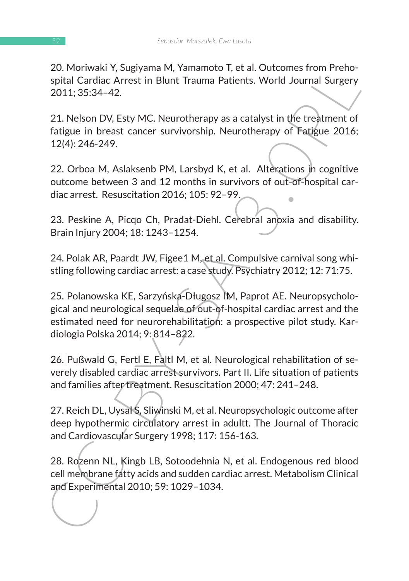20. Moriwaki Y, Sugiyama M, Yamamoto T, et al. Outcomes from Prehospital Cardiac Arrest in Blunt Trauma Patients. World Journal Surgery 2011; 35:34–42.

21. Nelson DV, Esty MC. Neurotherapy as a catalyst in the treatment of fatigue in breast cancer survivorship. Neurotherapy of Fatigue 2016; 12(4): 246-249.

22. Orboa M, Aslaksenb PM, Larsbyd K, et al. Alterations in cognitive outcome between 3 and 12 months in survivors of out-of-hospital cardiac arrest. Resuscitation 2016; 105: 92–99.

23. Peskine A, Picqo Ch, Pradat-Diehl. Cerebral anoxia and disability. Brain Injury 2004; 18: 1243–1254.

24. Polak AR, Paardt JW, Figee1 M, et al. Compulsive carnival song whistling following cardiac arrest: a case study. Psychiatry 2012; 12: 71:75.

20. Motivakir i, sugural M, raintinudo I, et al. Ottomiss front Prenio-<br>spital Cardiac Arrest in Blunt Trauma Patients. World Journal Surgery<br>2011; 35:34–42.<br>21. Nelson DV, Esty MC. Neurotherapy as a catalyst in the treatm 25. Polanowska KE, Sarzyńska-Długosz IM, Paprot AE. Neuropsychological and neurological sequelae of out-of-hospital cardiac arrest and the estimated need for neurorehabilitation: a prospective pilot study. Kardiologia Polska 2014; 9: 814–822.

26. Pußwald G, Fertl E, Faltl M, et al. Neurological rehabilitation of severely disabled cardiac arrest survivors. Part II. Life situation of patients and families after treatment. Resuscitation 2000; 47: 241–248.

27. Reich DL, Uysal S, Sliwinski M, et al. Neuropsychologic outcome after deep hypothermic circulatory arrest in adultt. The Journal of Thoracic and Cardiovascular Surgery 1998; 117: 156-163.

28. Rozenn NL, Kingb LB, Sotoodehnia N, et al. Endogenous red blood cell membrane fatty acids and sudden cardiac arrest. Metabolism Clinical and Experimental 2010; 59: 1029–1034.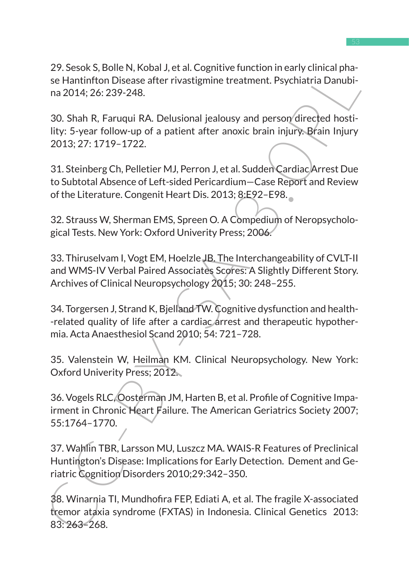29. Sesok S, Bolle N, Kobal J, et al. Cognitive function in early clinical phase Hantinfton Disease after rivastigmine treatment. Psychiatria Danubina 2014; 26: 239-248.

30. Shah R, Faruqui RA. Delusional jealousy and person directed hostility: 5-year follow-up of a patient after anoxic brain injury. Brain Injury 2013; 27: 1719–1722.

31. Steinberg Ch, Pelletier MJ, Perron J, et al. Sudden Cardiac Arrest Due to Subtotal Absence of Left-sided Pericardium—Case Report and Review of the Literature. Congenit Heart Dis. 2013; 8:E92–E98.

32. Strauss W, Sherman EMS, Spreen O. A Compedium of Neropsychological Tests. New York: Oxford Univerity Press; 2006.

33. Thiruselvam I, Vogt EM, Hoelzle JB. The Interchangeability of CVLT-II and WMS-IV Verbal Paired Associates Scores: A Slightly Different Story. Archives of Clinical Neuropsychology 2015; 30: 248–255.

34. Torgersen J, Strand K, Bjelland TW. Cognitive dysfunction and health- -related quality of life after a cardiac arrest and therapeutic hypothermia. Acta Anaesthesiol Scand 2010; 54: 721–728.

35. Valenstein W, Heilman KM. Clinical Neuropsychology. New York: Oxford Univerity Press; 2012.

27. sesues, a, oue IV, Noual J, et al. Cognitive unit. Direction Brief units a pinal<br>se Hantinfton Disease after rivastigmine teatment. Psychiatria Danubi-<br>na 2014; 26: 239-248.<br>SO. Shah R, Faruqui RA, Delusional jealousy 36. Vogels RLC, Oosterman JM, Harten B, et al. Profile of Cognitive Impairment in Chronic Heart Failure. The American Geriatrics Society 2007; 55:1764–1770.

37. Wahlin TBR, Larsson MU, Luszcz MA. WAIS-R Features of Preclinical Huntington's Disease: Implications for Early Detection. Dement and Geriatric Cognition Disorders 2010;29:342–350.

38. Winarnia TI, Mundhofira FEP, Ediati A, et al. The fragile X-associated tremor ataxia syndrome (FXTAS) in Indonesia. Clinical Genetics 2013: 83: 263–268.